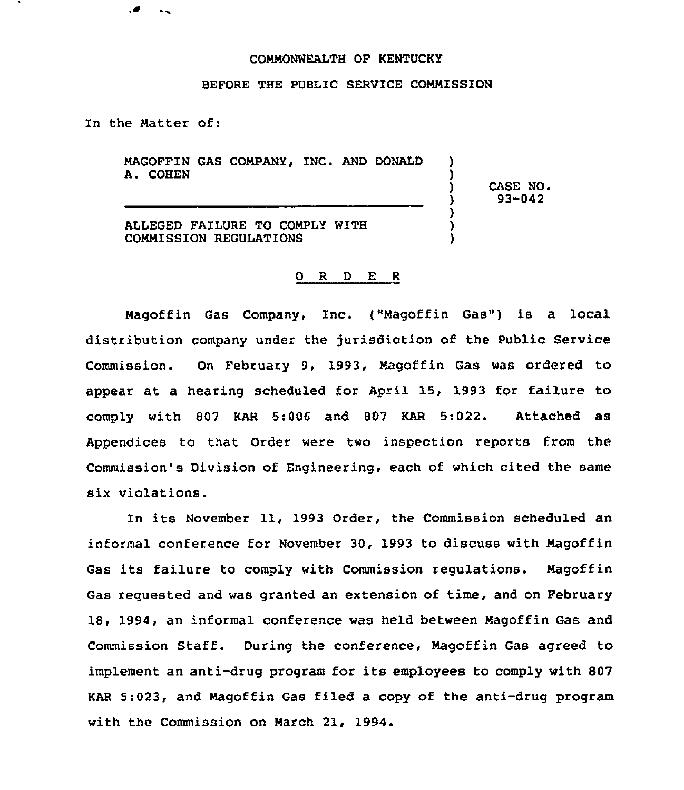## COMMONWEALTH OF KENTUCKY

## BEFORE THE PUBLIC SERUICE COMMISSION

In the Matter of:

MAGOFFIN GAS COMPANY, INC. AND DONALD A. COHEN

> ) CASE NO. ) 93-042

) )

) ) )

ALLEGED FAILURE TO COMPLY WITH COMMISSION REGULATIONS

## 0 R <sup>D</sup> E <sup>R</sup>

Magoffin Gas Company, Inc. {"Magoffin Gas") is a local distribution company under the jurisdiction of the Public Service Commission. On February 9, 1993, Magoffin Gas was ordered to appear at a hearing scheduled for April 15, 1993 for failure to comply with 807 KAR 5:006 and 807 KAR 5;022. Attached as Appendices to that Order were two inspection reports from the Commission's Division of Engineering, each of which cited the same six violations.

In its November 11, 1993 Order, the Commission scheduled an informal conference for November 30, 1993 to discuss with Magoffin Gas its failure to comply with Commission regulations. Magoffin Gas requested and was granted an extension of time, and on February 18, 1994, an informal conference was held between Magoffin Gas and Commission Staff. During the conference, Magoffin Gas agreed to implement an anti-drug program for its employees to comply with 807 KAR 5:023, and Magoffin Gas filed a copy of the anti-drug program with the Commission on March 21, 1994.